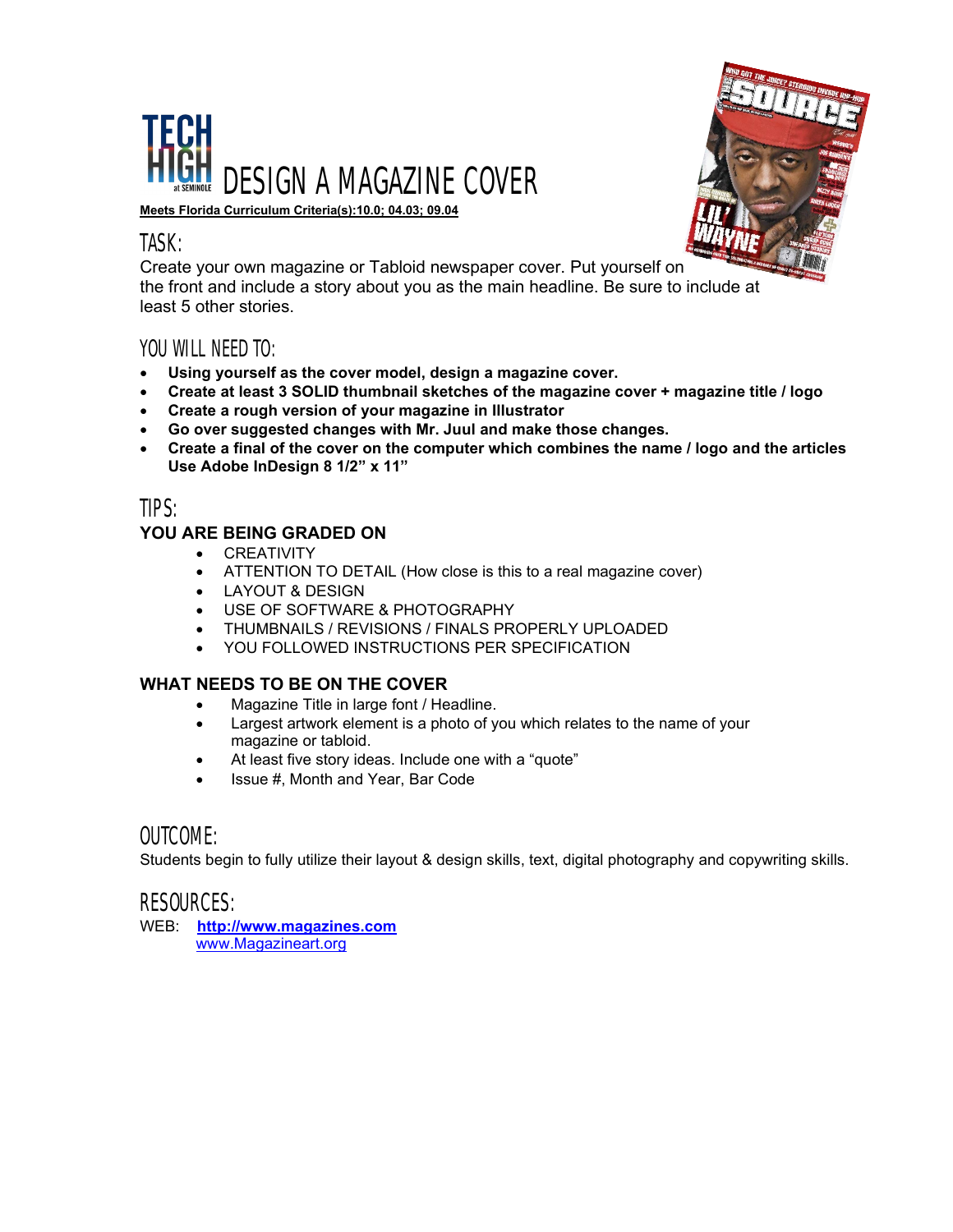



**Meets Florida Curriculum Criteria(s):10.0; 04.03; 09.04**

## TASK:

Create your own magazine or Tabloid newspaper cover. Put yourself on the front and include a story about you as the main headline. Be sure to include at least 5 other stories.

## YOU WILL NEED TO:

- **Using yourself as the cover model, design a magazine cover.**
- **Create at least 3 SOLID thumbnail sketches of the magazine cover + magazine title / logo**
- **Create a rough version of your magazine in Illustrator**
- **Go over suggested changes with Mr. Juul and make those changes.**
- **Create a final of the cover on the computer which combines the name / logo and the articles Use Adobe InDesign 8 1/2" x 11"**

## TIPS:

### **YOU ARE BEING GRADED ON**

- CREATIVITY
- ATTENTION TO DETAIL (How close is this to a real magazine cover)
- LAYOUT & DESIGN
- USE OF SOFTWARE & PHOTOGRAPHY
- THUMBNAILS / REVISIONS / FINALS PROPERLY UPLOADED
- YOU FOLLOWED INSTRUCTIONS PER SPECIFICATION

### **WHAT NEEDS TO BE ON THE COVER**

- Magazine Title in large font / Headline.
- Largest artwork element is a photo of you which relates to the name of your magazine or tabloid.
- At least five story ideas. Include one with a "quote"
- Issue #, Month and Year, Bar Code

## OUTCOME:

Students begin to fully utilize their layout & design skills, text, digital photography and copywriting skills.

## RESOURCES:

WEB: **[http://www.magazines.com](http://www.magazines.com/)** [www.Magazineart.org](http://www.magazineart.org/)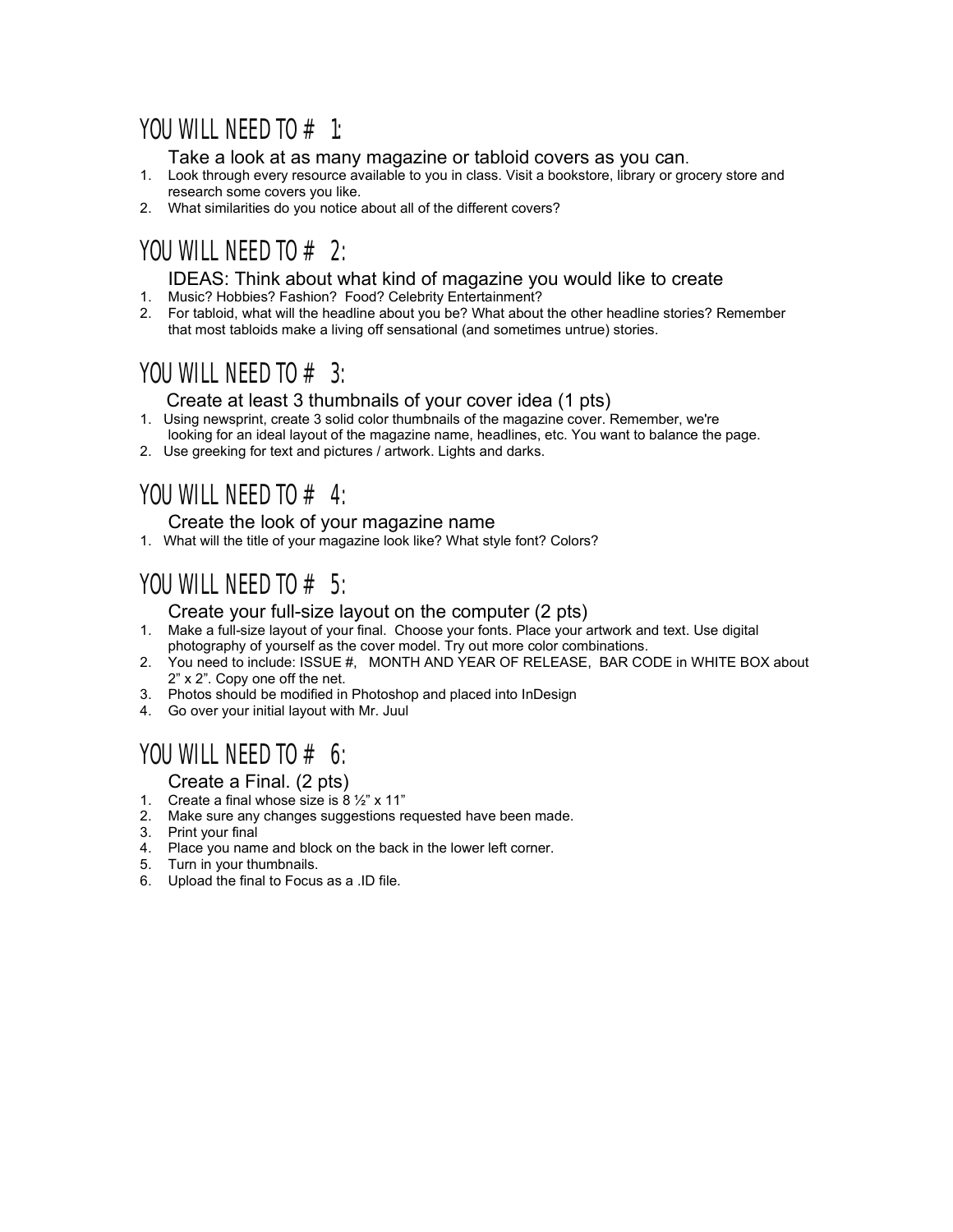## YOU WILL NEED TO  $#$  1:

Take a look at as many magazine or tabloid covers as you can.

- 1. Look through every resource available to you in class. Visit a bookstore, library or grocery store and research some covers you like.
- 2. What similarities do you notice about all of the different covers?

# YOU WILL NEED TO  $# 2$ :

### IDEAS: Think about what kind of magazine you would like to create

- 1. Music? Hobbies? Fashion? Food? Celebrity Entertainment?
- 2. For tabloid, what will the headline about you be? What about the other headline stories? Remember that most tabloids make a living off sensational (and sometimes untrue) stories.

# YOU WILL NEED TO  $# 3$ :

### Create at least 3 thumbnails of your cover idea (1 pts)

- 1. Using newsprint, create 3 solid color thumbnails of the magazine cover. Remember, we're
- looking for an ideal layout of the magazine name, headlines, etc. You want to balance the page.
- 2. Use greeking for text and pictures / artwork. Lights and darks.

# YOU WILL NEED TO  $\#$  4:

### Create the look of your magazine name

1. What will the title of your magazine look like? What style font? Colors?

# YOU WILL NEED TO  $# 5$ :

### Create your full-size layout on the computer (2 pts)

- 1. Make a full-size layout of your final. Choose your fonts. Place your artwork and text. Use digital photography of yourself as the cover model. Try out more color combinations.
- 2. You need to include: ISSUE #, MONTH AND YEAR OF RELEASE, BAR CODE in WHITE BOX about 2" x 2". Copy one off the net.
- 3. Photos should be modified in Photoshop and placed into InDesign
- 4. Go over your initial layout with Mr. Juul

# YOU WILL NEED TO  $\#$  6:

### Create a Final. (2 pts)

- 1. Create a final whose size is  $8\frac{1}{2}$ " x 11"
- 2. Make sure any changes suggestions requested have been made.
- 3. Print your final
- 4. Place you name and block on the back in the lower left corner.
- 5. Turn in your thumbnails.
- 6. Upload the final to Focus as a .ID file.